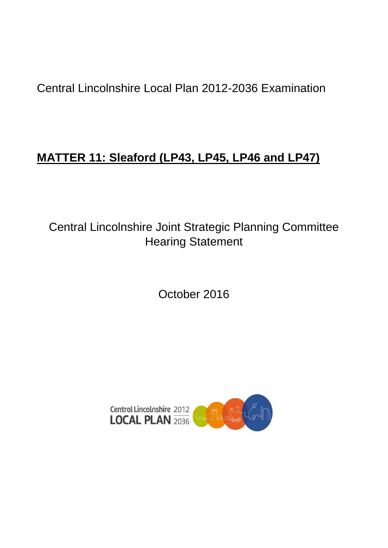Central Lincolnshire Local Plan 2012-2036 Examination

# **MATTER 11: Sleaford (LP43, LP45, LP46 and LP47)**

Central Lincolnshire Joint Strategic Planning Committee Hearing Statement

October 2016

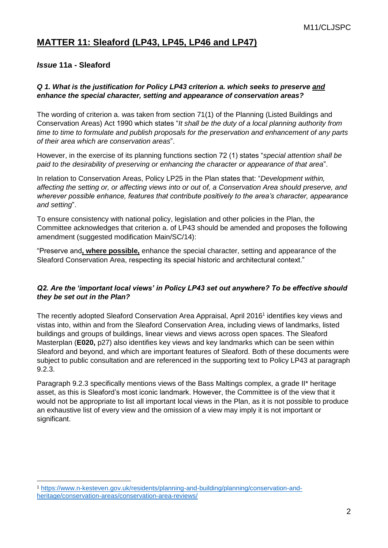# **MATTER 11: Sleaford (LP43, LP45, LP46 and LP47)**

# *Issue* **11a - Sleaford**

#### *Q 1. What is the justification for Policy LP43 criterion a. which seeks to preserve and enhance the special character, setting and appearance of conservation areas?*

The wording of criterion a. was taken from section 71(1) of the Planning (Listed Buildings and Conservation Areas) Act 1990 which states "*It shall be the duty of a local planning authority from time to time to formulate and publish proposals for the preservation and enhancement of any parts of their area which are conservation areas*".

However, in the exercise of its planning functions section 72 (1) states "*special attention shall be paid to the desirability of preserving or enhancing the character or appearance of that area*".

In relation to Conservation Areas, Policy LP25 in the Plan states that: "*Development within, affecting the setting or, or affecting views into or out of, a Conservation Area should preserve, and wherever possible enhance, features that contribute positively to the area's character, appearance and setting*".

To ensure consistency with national policy, legislation and other policies in the Plan, the Committee acknowledges that criterion a. of LP43 should be amended and proposes the following amendment (suggested modification Main/SC/14):

"Preserve and**, where possible,** enhance the special character, setting and appearance of the Sleaford Conservation Area, respecting its special historic and architectural context."

## *Q2. Are the 'important local views' in Policy LP43 set out anywhere? To be effective should they be set out in the Plan?*

The recently adopted Sleaford Conservation Area Appraisal, April 2016<sup>1</sup> identifies key views and vistas into, within and from the Sleaford Conservation Area, including views of landmarks, listed buildings and groups of buildings, linear views and views across open spaces. The Sleaford Masterplan (**E020,** p27) also identifies key views and key landmarks which can be seen within Sleaford and beyond, and which are important features of Sleaford. Both of these documents were subject to public consultation and are referenced in the supporting text to Policy LP43 at paragraph 9.2.3.

Paragraph 9.2.3 specifically mentions views of the Bass Maltings complex, a grade II\* heritage asset, as this is Sleaford's most iconic landmark. However, the Committee is of the view that it would not be appropriate to list all important local views in the Plan, as it is not possible to produce an exhaustive list of every view and the omission of a view may imply it is not important or significant.

<sup>1</sup> <sup>1</sup> [https://www.n-kesteven.gov.uk/residents/planning-and-building/planning/conservation-and](https://www.n-kesteven.gov.uk/residents/planning-and-building/planning/conservation-and-heritage/conservation-areas/conservation-area-reviews/)[heritage/conservation-areas/conservation-area-reviews/](https://www.n-kesteven.gov.uk/residents/planning-and-building/planning/conservation-and-heritage/conservation-areas/conservation-area-reviews/)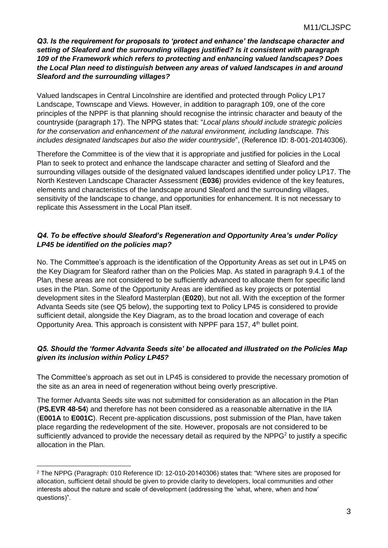*Q3. Is the requirement for proposals to 'protect and enhance' the landscape character and setting of Sleaford and the surrounding villages justified? Is it consistent with paragraph 109 of the Framework which refers to protecting and enhancing valued landscapes? Does the Local Plan need to distinguish between any areas of valued landscapes in and around Sleaford and the surrounding villages?*

Valued landscapes in Central Lincolnshire are identified and protected through Policy LP17 Landscape, Townscape and Views. However, in addition to paragraph 109, one of the core principles of the NPPF is that planning should recognise the intrinsic character and beauty of the countryside (paragraph 17). The NPPG states that: "*Local plans should include strategic policies for the conservation and enhancement of the natural environment, including landscape. This includes designated landscapes but also the wider countryside*", (Reference ID: 8-001-20140306).

Therefore the Committee is of the view that it is appropriate and justified for policies in the Local Plan to seek to protect and enhance the landscape character and setting of Sleaford and the surrounding villages outside of the designated valued landscapes identified under policy LP17. The North Kesteven Landscape Character Assessment (**E036**) provides evidence of the key features, elements and characteristics of the landscape around Sleaford and the surrounding villages, sensitivity of the landscape to change, and opportunities for enhancement. It is not necessary to replicate this Assessment in the Local Plan itself.

# *Q4. To be effective should Sleaford's Regeneration and Opportunity Area's under Policy LP45 be identified on the policies map?*

No. The Committee's approach is the identification of the Opportunity Areas as set out in LP45 on the Key Diagram for Sleaford rather than on the Policies Map. As stated in paragraph 9.4.1 of the Plan, these areas are not considered to be sufficiently advanced to allocate them for specific land uses in the Plan. Some of the Opportunity Areas are identified as key projects or potential development sites in the Sleaford Masterplan (**E020**), but not all. With the exception of the former Advanta Seeds site (see Q5 below), the supporting text to Policy LP45 is considered to provide sufficient detail, alongside the Key Diagram, as to the broad location and coverage of each Opportunity Area. This approach is consistent with NPPF para 157, 4<sup>th</sup> bullet point.

## *Q5. Should the 'former Advanta Seeds site' be allocated and illustrated on the Policies Map given its inclusion within Policy LP45?*

The Committee's approach as set out in LP45 is considered to provide the necessary promotion of the site as an area in need of regeneration without being overly prescriptive.

The former Advanta Seeds site was not submitted for consideration as an allocation in the Plan (**PS.EVR 48-54**) and therefore has not been considered as a reasonable alternative in the IIA (**E001A** to **E001C**). Recent pre-application discussions, post submission of the Plan, have taken place regarding the redevelopment of the site. However, proposals are not considered to be sufficiently advanced to provide the necessary detail as required by the NPPG<sup>2</sup> to justify a specific allocation in the Plan.

1

<sup>2</sup> The NPPG (Paragraph: 010 Reference ID: 12-010-20140306) states that: "Where sites are proposed for allocation, sufficient detail should be given to provide clarity to developers, local communities and other interests about the nature and scale of development (addressing the 'what, where, when and how' questions)".